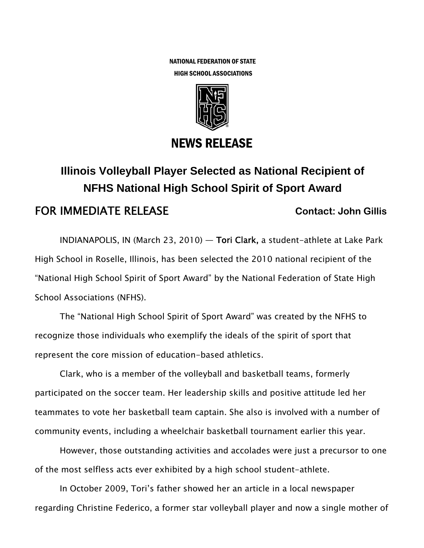NATIONAL FEDERATION OF STATE HIGH SCHOOL ASSOCIATIONS



## NEWS RELEASE

## **Illinois Volleyball Player Selected as National Recipient of NFHS National High School Spirit of Sport Award FOR IMMEDIATE RELEASE** Contact: John Gillis

INDIANAPOLIS, IN (March 23, 2010) — Tori Clark, a student-athlete at Lake Park High School in Roselle, Illinois, has been selected the 2010 national recipient of the "National High School Spirit of Sport Award" by the National Federation of State High School Associations (NFHS).

The "National High School Spirit of Sport Award" was created by the NFHS to recognize those individuals who exemplify the ideals of the spirit of sport that represent the core mission of education-based athletics.

Clark, who is a member of the volleyball and basketball teams, formerly participated on the soccer team. Her leadership skills and positive attitude led her teammates to vote her basketball team captain. She also is involved with a number of community events, including a wheelchair basketball tournament earlier this year.

However, those outstanding activities and accolades were just a precursor to one of the most selfless acts ever exhibited by a high school student-athlete.

In October 2009, Tori's father showed her an article in a local newspaper regarding Christine Federico, a former star volleyball player and now a single mother of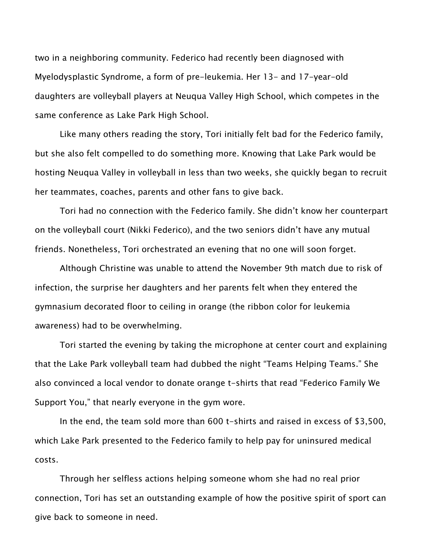two in a neighboring community. Federico had recently been diagnosed with Myelodysplastic Syndrome, a form of pre-leukemia. Her 13- and 17-year-old daughters are volleyball players at Neuqua Valley High School, which competes in the same conference as Lake Park High School.

Like many others reading the story, Tori initially felt bad for the Federico family, but she also felt compelled to do something more. Knowing that Lake Park would be hosting Neuqua Valley in volleyball in less than two weeks, she quickly began to recruit her teammates, coaches, parents and other fans to give back.

Tori had no connection with the Federico family. She didn't know her counterpart on the volleyball court (Nikki Federico), and the two seniors didn't have any mutual friends. Nonetheless, Tori orchestrated an evening that no one will soon forget.

Although Christine was unable to attend the November 9th match due to risk of infection, the surprise her daughters and her parents felt when they entered the gymnasium decorated floor to ceiling in orange (the ribbon color for leukemia awareness) had to be overwhelming.

Tori started the evening by taking the microphone at center court and explaining that the Lake Park volleyball team had dubbed the night "Teams Helping Teams." She also convinced a local vendor to donate orange t-shirts that read "Federico Family We Support You," that nearly everyone in the gym wore.

In the end, the team sold more than 600 t-shirts and raised in excess of \$3,500, which Lake Park presented to the Federico family to help pay for uninsured medical costs.

Through her selfless actions helping someone whom she had no real prior connection, Tori has set an outstanding example of how the positive spirit of sport can give back to someone in need.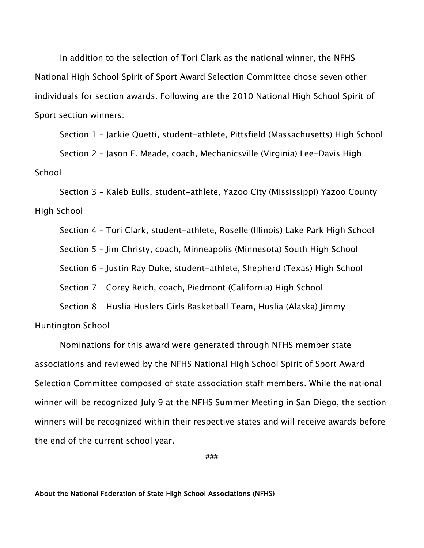In addition to the selection of Tori Clark as the national winner, the NFHS National High School Spirit of Sport Award Selection Committee chose seven other individuals for section awards. Following are the 2010 National High School Spirit of Sport section winners:

Section 1 – Jackie Quetti, student-athlete, Pittsfield (Massachusetts) High School

Section 2 – Jason E. Meade, coach, Mechanicsville (Virginia) Lee-Davis High School

Section 3 – Kaleb Eulls, student-athlete, Yazoo City (Mississippi) Yazoo County High School

Section 4 – Tori Clark, student-athlete, Roselle (Illinois) Lake Park High School Section 5 – Jim Christy, coach, Minneapolis (Minnesota) South High School Section 6 – Justin Ray Duke, student-athlete, Shepherd (Texas) High School Section 7 – Corey Reich, coach, Piedmont (California) High School Section 8 – Huslia Huslers Girls Basketball Team, Huslia (Alaska) Jimmy

Huntington School

Nominations for this award were generated through NFHS member state associations and reviewed by the NFHS National High School Spirit of Sport Award Selection Committee composed of state association staff members. While the national winner will be recognized July 9 at the NFHS Summer Meeting in San Diego, the section winners will be recognized within their respective states and will receive awards before the end of the current school year.

**###** 

## About the National Federation of State High School Associations (NFHS)